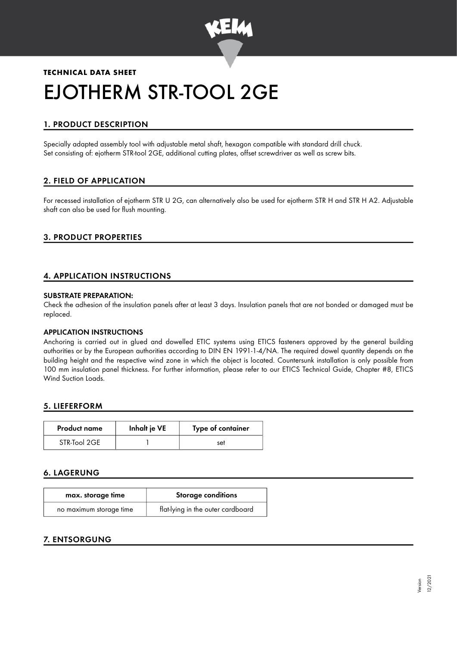

# **TECHNICAL DATA SHEET** EJOTHERM STR-TOOL 2GE

# 1. PRODUCT DESCRIPTION

Specially adapted assembly tool with adjustable metal shaft, hexagon compatible with standard drill chuck. Set consisting of: ejotherm STR-tool 2GE, additional cutting plates, offset screwdriver as well as screw bits.

# 2. FIELD OF APPLICATION

For recessed installation of ejotherm STR U 2G, can alternatively also be used for ejotherm STR H and STR H A2. Adjustable shaft can also be used for flush mounting.

### 3. PRODUCT PROPERTIES

# 4. APPLICATION INSTRUCTIONS

#### SUBSTRATE PREPARATION:

Check the adhesion of the insulation panels after at least 3 days. Insulation panels that are not bonded or damaged must be replaced.

#### APPLICATION INSTRUCTIONS

Anchoring is carried out in glued and dowelled ETIC systems using ETICS fasteners approved by the general building authorities or by the European authorities according to DIN EN 1991-1-4/NA. The required dowel quantity depends on the building height and the respective wind zone in which the object is located. Countersunk installation is only possible from 100 mm insulation panel thickness. For further information, please refer to our ETICS Technical Guide, Chapter #8, ETICS Wind Suction Loads.

#### 5. LIEFERFORM

| <b>Product name</b> | Inhalt je VE | Type of container |
|---------------------|--------------|-------------------|
| STR-Tool 2GE        |              | set               |

# 6. LAGERUNG

| max. storage time       | Storage conditions                |  |
|-------------------------|-----------------------------------|--|
| no maximum storage time | flat-lying in the outer cardboard |  |

# 7. ENTSORGUNG